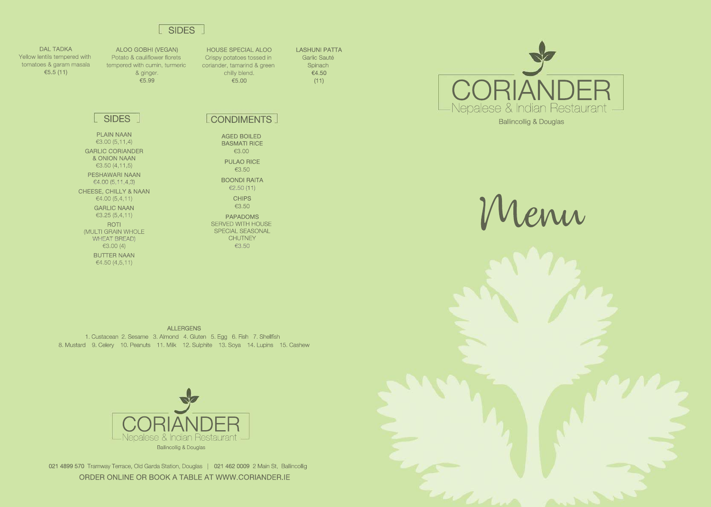ALLERGENS 1. Custacean 2. Sesame 3. Almond 4. Gluten 5. Egg 6. Fish 7. Shellfish 8.Mustard 9.Celery 10.Peanuts 11.Milk 12.Sulphite 13.Soya 14.Lupins 15.Cashew



L SIDES CONDIMENTS

**AGED BOILED BASMATI RICE** €3.00

**PULAO RICE** €3.50

**BOONDI RAITA** €2.50(11) **CHIPS** 



021 4899 570 Tramway Terrace, Old Garda Station, Douglas | 021 462 0009 2 Main St, Ballincollig ORDER ONLINE OR BOOK A TABLE AT WWW.CORIANDER.IE



HOUSE SPECIAL ALOO Crispy potatoes tossed in coriander, tamarind & green chilly blend. €5.00

LASHUNI PATTA Garlic Sauté **Spinach** €4.50  $(11)$ 

€3.50

DAL TADKA Yellow lentils tempered with tomatoes & garam masala €5.5(11)

> PAPADOMS SERVED WITH HOUSE SPECIAL SEASONAL **CHUTNEY** €3.50

where



ALOOGOBHI(VEGAN) Potato & cauliflower florets tempered with cumin, turmeric & ginger. €5.99

PLAIN NAAN €3.00(5,11,4) **GARLIC CORIANDER & ONION NAAN** €3.50(4,11,5) PESHAWARI NAAN  $€4.00(5,11,4,3)$ CHEESE, CHILLY & NAAN  $€4.00(5,4,11)$ **GARLIC NAAN** €3.25(5,4,11) ROTI (MULTI GRAIN WHOLE WHEAT BREAD) €3.00(4) **BUTTER NAAN**  $€4.50(4,5,11)$